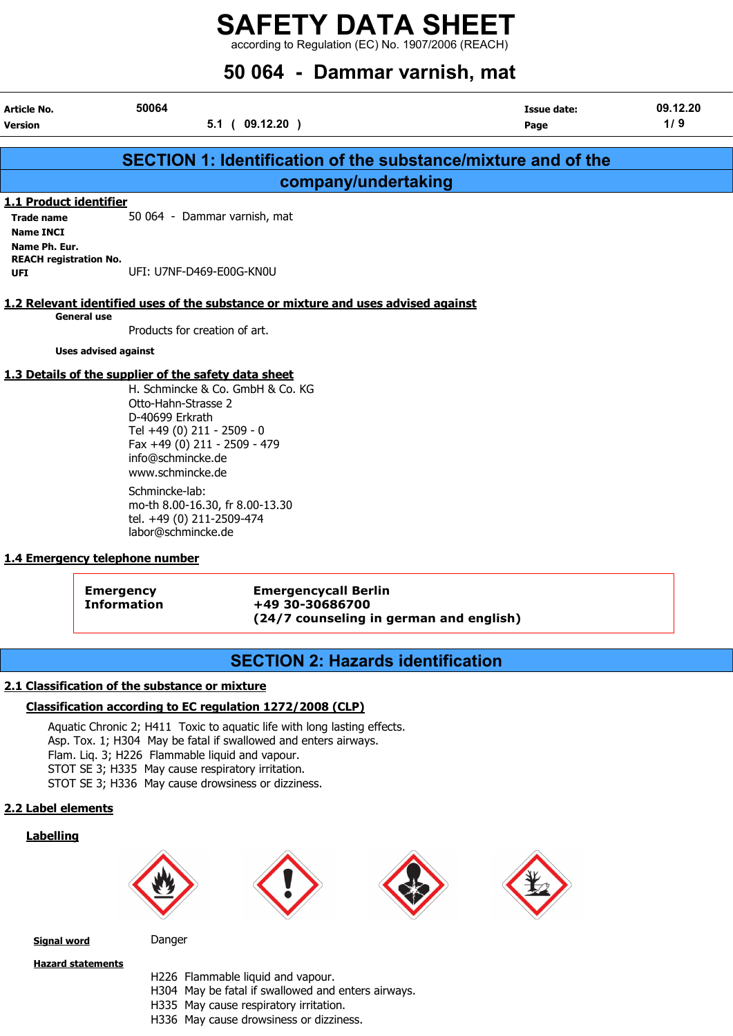according to Regulation (EC) No. 1907/2006 (REACH)

# 50 064 - Dammar varnish, mat

| Article No.                                                  | 50064                                                                                                                                                                                                                                     | <b>Issue date:</b> | 09.12.20 |
|--------------------------------------------------------------|-------------------------------------------------------------------------------------------------------------------------------------------------------------------------------------------------------------------------------------------|--------------------|----------|
| Version                                                      | $5.1$ ( 09.12.20 )                                                                                                                                                                                                                        | Page               | 1/9      |
|                                                              | SECTION 1: Identification of the substance/mixture and of the                                                                                                                                                                             |                    |          |
|                                                              | company/undertaking                                                                                                                                                                                                                       |                    |          |
| 1.1 Product identifier                                       |                                                                                                                                                                                                                                           |                    |          |
| <b>Trade name</b><br><b>Name INCI</b>                        | 50 064 - Dammar varnish, mat                                                                                                                                                                                                              |                    |          |
| Name Ph. Eur.<br><b>REACH registration No.</b><br><b>UFI</b> | UFI: U7NF-D469-E00G-KN0U                                                                                                                                                                                                                  |                    |          |
| <b>General use</b>                                           | 1.2 Relevant identified uses of the substance or mixture and uses advised against<br>Products for creation of art.                                                                                                                        |                    |          |
| <b>Uses advised against</b>                                  |                                                                                                                                                                                                                                           |                    |          |
|                                                              | 1.3 Details of the supplier of the safety data sheet<br>H. Schmincke & Co. GmbH & Co. KG<br>Otto-Hahn-Strasse 2<br>D-40699 Erkrath<br>Tel +49 (0) 211 - 2509 - 0<br>Fax +49 (0) 211 - 2509 - 479<br>info@schmincke.de<br>www.schmincke.de |                    |          |
|                                                              | Schmincke-lab:<br>$\pm 0.00, 10, 20, 5, 0.00, 12, 20$                                                                                                                                                                                     |                    |          |

mo-th 8.00-16.30, fr 8.00-13.30 tel. +49 (0) 211-2509-474 labor@schmincke.de

## 1.4 Emergency telephone number

Emergency Emergencycall Berlin Information +49 30-30686700 (24/7 counseling in german and english)

## SECTION 2: Hazards identification

## 2.1 Classification of the substance or mixture

## Classification according to EC regulation 1272/2008 (CLP)

Aquatic Chronic 2; H411 Toxic to aquatic life with long lasting effects. Asp. Tox. 1; H304 May be fatal if swallowed and enters airways. Flam. Liq. 3; H226 Flammable liquid and vapour. STOT SE 3; H335 May cause respiratory irritation. STOT SE 3; H336 May cause drowsiness or dizziness.

#### 2.2 Label elements

#### **Labelling**









Signal word Danger

Hazard statements

- 
- H226 Flammable liquid and vapour. H304 May be fatal if swallowed and enters airways.
- H335 May cause respiratory irritation.
- 
- H336 May cause drowsiness or dizziness.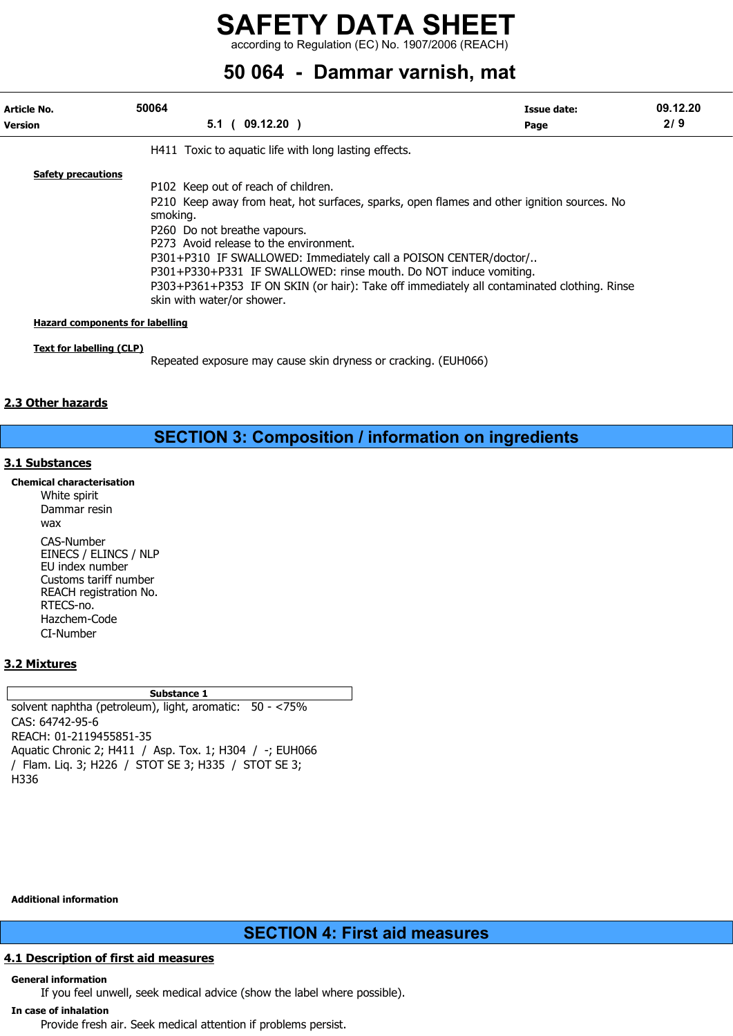according to Regulation (EC) No. 1907/2006 (REACH)

# 50 064 - Dammar varnish, mat

| Article No.<br><b>Version</b>          | 50064<br>5.1 <sub>0</sub><br>$09.12.20$ )                                                                                                                                                                                                                                                                                                                                                                                                                                                    | Issue date:<br>Page | 09.12.20<br>2/9 |
|----------------------------------------|----------------------------------------------------------------------------------------------------------------------------------------------------------------------------------------------------------------------------------------------------------------------------------------------------------------------------------------------------------------------------------------------------------------------------------------------------------------------------------------------|---------------------|-----------------|
|                                        | H411 Toxic to aquatic life with long lasting effects.                                                                                                                                                                                                                                                                                                                                                                                                                                        |                     |                 |
| <b>Safety precautions</b>              | P102 Keep out of reach of children.<br>P210 Keep away from heat, hot surfaces, sparks, open flames and other ignition sources. No<br>smoking.<br>P260 Do not breathe vapours.<br>P273 Avoid release to the environment.<br>P301+P310 IF SWALLOWED: Immediately call a POISON CENTER/doctor/<br>P301+P330+P331 IF SWALLOWED: rinse mouth. Do NOT induce vomiting.<br>P303+P361+P353 IF ON SKIN (or hair): Take off immediately all contaminated clothing. Rinse<br>skin with water/or shower. |                     |                 |
| <b>Hazard components for labelling</b> |                                                                                                                                                                                                                                                                                                                                                                                                                                                                                              |                     |                 |
| Text for labelling (CLP)               | Repeated exposure may cause skin dryness or cracking. (EUH066)                                                                                                                                                                                                                                                                                                                                                                                                                               |                     |                 |

## 2.3 Other hazards

## SECTION 3: Composition / information on ingredients

## 3.1 Substances

Chemical characterisation

White spirit Dammar resin  $W$ CAS-Number EINECS / ELINCS / NLP EU index number Customs tariff number REACH registration No. RTECS-no. Hazchem-Code CI-Number

## 3.2 Mixtures

Substance 1

solvent naphtha (petroleum), light, aromatic: 50 - <75% CAS: 64742-95-6 REACH: 01-2119455851-35 Aquatic Chronic 2; H411 / Asp. Tox. 1; H304 / -; EUH066 / Flam. Liq. 3; H226 / STOT SE 3; H335 / STOT SE 3; H336

Additional information

## SECTION 4: First aid measures

## 4.1 Description of first aid measures

## General information

If you feel unwell, seek medical advice (show the label where possible).

## In case of inhalation

Provide fresh air. Seek medical attention if problems persist.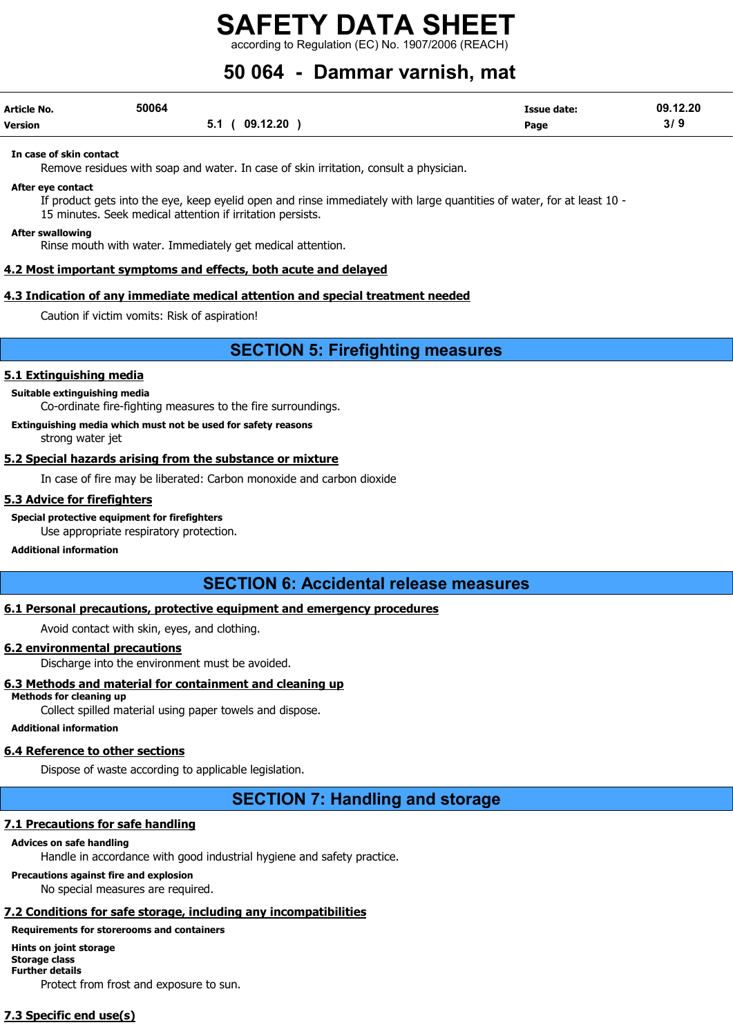ording to Regulation (EC) No. 1907/2006 (REACH)

# 50 064 - Dammar varnish, mat

| <b>Article No.</b> | 50064             | Issue date: | 09.12.20 |
|--------------------|-------------------|-------------|----------|
| <b>Version</b>     | (09.12.20)<br>5.1 | Page        | 3/9      |

#### In case of skin contact

Remove residues with soap and water. In case of skin irritation, consult a physician.

After eye contact

If product gets into the eye, keep eyelid open and rinse immediately with large quantities of water, for at least 10 - 15 minutes. Seek medical attention if irritation persists.

#### After swallowing

Rinse mouth with water. Immediately get medical attention.

#### 4.2 Most important symptoms and effects, both acute and delayed

#### 4.3 Indication of any immediate medical attention and special treatment needed

Caution if victim vomits: Risk of aspiration!

## SECTION 5: Firefighting measures

#### 5.1 Extinguishing media

#### Suitable extinguishing media

Co-ordinate fire-fighting measures to the fire surroundings.

Extinguishing media which must not be used for safety reasons

strong water jet

#### 5.2 Special hazards arising from the substance or mixture

In case of fire may be liberated: Carbon monoxide and carbon dioxide

#### 5.3 Advice for firefighters

Special protective equipment for firefighters

Use appropriate respiratory protection.

#### Additional information

## SECTION 6: Accidental release measures

#### 6.1 Personal precautions, protective equipment and emergency procedures

Avoid contact with skin, eyes, and clothing.

### 6.2 environmental precautions

Discharge into the environment must be avoided.

## 6.3 Methods and material for containment and cleaning up

Methods for cleaning up

Collect spilled material using paper towels and dispose.

#### Additional information

## 6.4 Reference to other sections

Dispose of waste according to applicable legislation.

SECTION 7: Handling and storage

## 7.1 Precautions for safe handling

## Advices on safe handling

Handle in accordance with good industrial hygiene and safety practice.

## Precautions against fire and explosion

No special measures are required.

## 7.2 Conditions for safe storage, including any incompatibilities

## Requirements for storerooms and containers

Hints on joint storage Storage class Further details Protect from frost and exposure to sun.

## 7.3 Specific end use(s)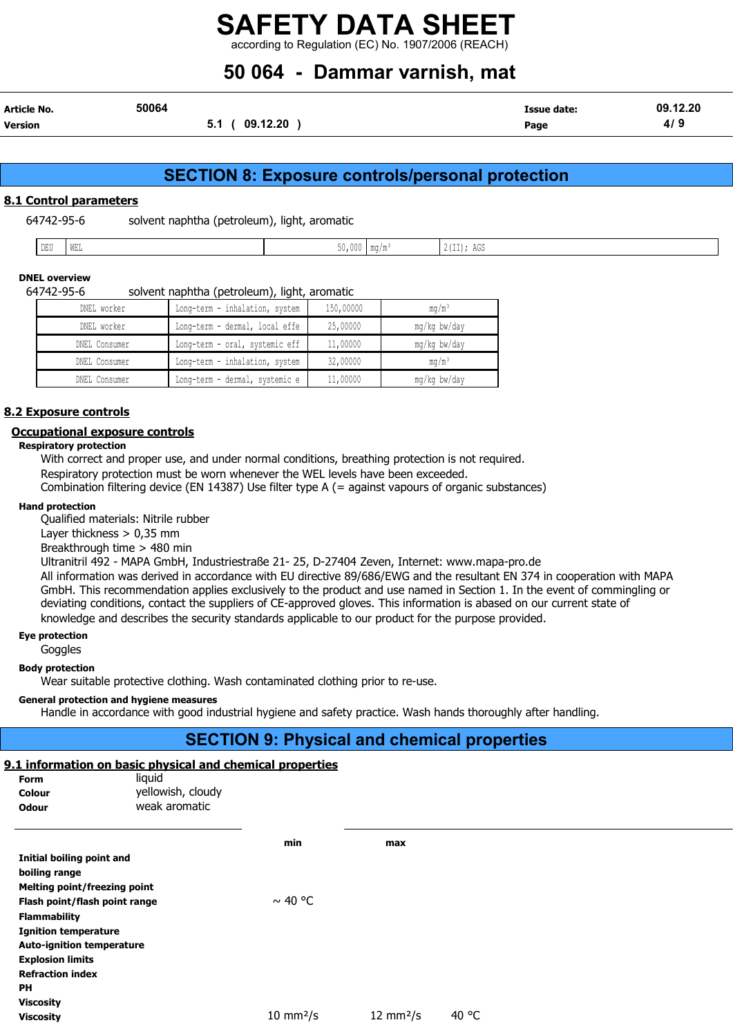according to Regulation (EC) No. 1907/2006 (REACH)

# 50 064 - Dammar varnish, mat

| Article No. | 50064 |                 | <b>Issue date:</b> | 09.12.20 |
|-------------|-------|-----------------|--------------------|----------|
| Version     |       | 09.12.20<br>5.1 | Page               | 4/       |

## SECTION 8: Exposure controls/personal protection

### 8.1 Control parameters

64742-95-6 solvent naphtha (petroleum), light, aromatic

| -- | WEL |  |  | $\cdot$ $ -$<br>$\sim$ $\sim$<br>. |
|----|-----|--|--|------------------------------------|
|----|-----|--|--|------------------------------------|

## DNEL overview

| 64742-95-6 |  | solvent naphtha (petroleum), light, aromatic |  |  |
|------------|--|----------------------------------------------|--|--|
|            |  |                                              |  |  |

| DNEL worker   | Long-term - inhalation, system | 150,00000 | $mq/m^3$        |
|---------------|--------------------------------|-----------|-----------------|
| DNEL worker   | Long-term - dermal, local effe | 25,00000  | mg/kg bw/day    |
| DNEL Consumer | Long-term - oral, systemic eff | 11,00000  | mg/kg bw/day    |
| DNEL Consumer | Long-term - inhalation, system | 32,00000  | $\text{ma/m}^3$ |
| DNEL Consumer | Long-term - dermal, systemic e | 11,00000  | mg/kg bw/day    |

#### 8.2 Exposure controls

#### Occupational exposure controls

Respiratory protection

With correct and proper use, and under normal conditions, breathing protection is not required. Respiratory protection must be worn whenever the WEL levels have been exceeded.

Combination filtering device (EN 14387) Use filter type A (= against vapours of organic substances)

### Hand protection

Qualified materials: Nitrile rubber

Layer thickness > 0,35 mm

Breakthrough time > 480 min

Ultranitril 492 - MAPA GmbH, Industriestraße 21- 25, D-27404 Zeven, Internet: www.mapa-pro.de

All information was derived in accordance with EU directive 89/686/EWG and the resultant EN 374 in cooperation with MAPA GmbH. This recommendation applies exclusively to the product and use named in Section 1. In the event of commingling or deviating conditions, contact the suppliers of CE-approved gloves. This information is abased on our current state of knowledge and describes the security standards applicable to our product for the purpose provided.

### Eye protection

**Goggles** 

#### Body protection

Wear suitable protective clothing. Wash contaminated clothing prior to re-use.

#### General protection and hygiene measures

Handle in accordance with good industrial hygiene and safety practice. Wash hands thoroughly after handling.

## SECTION 9: Physical and chemical properties

## 9.1 information on basic physical and chemical properties

| Form                                | liquid            |                            |                            |       |
|-------------------------------------|-------------------|----------------------------|----------------------------|-------|
| Colour                              | yellowish, cloudy |                            |                            |       |
| <b>Odour</b>                        | weak aromatic     |                            |                            |       |
|                                     |                   | min                        | max                        |       |
| Initial boiling point and           |                   |                            |                            |       |
| boiling range                       |                   |                            |                            |       |
| <b>Melting point/freezing point</b> |                   |                            |                            |       |
| Flash point/flash point range       |                   | $\sim$ 40 °C               |                            |       |
| <b>Flammability</b>                 |                   |                            |                            |       |
| <b>Ignition temperature</b>         |                   |                            |                            |       |
| <b>Auto-ignition temperature</b>    |                   |                            |                            |       |
| <b>Explosion limits</b>             |                   |                            |                            |       |
| <b>Refraction index</b>             |                   |                            |                            |       |
| <b>PH</b>                           |                   |                            |                            |       |
| <b>Viscosity</b>                    |                   |                            |                            |       |
| <b>Viscosity</b>                    |                   | $10 \text{ mm}^2/\text{s}$ | $12 \text{ mm}^2/\text{s}$ | 40 °C |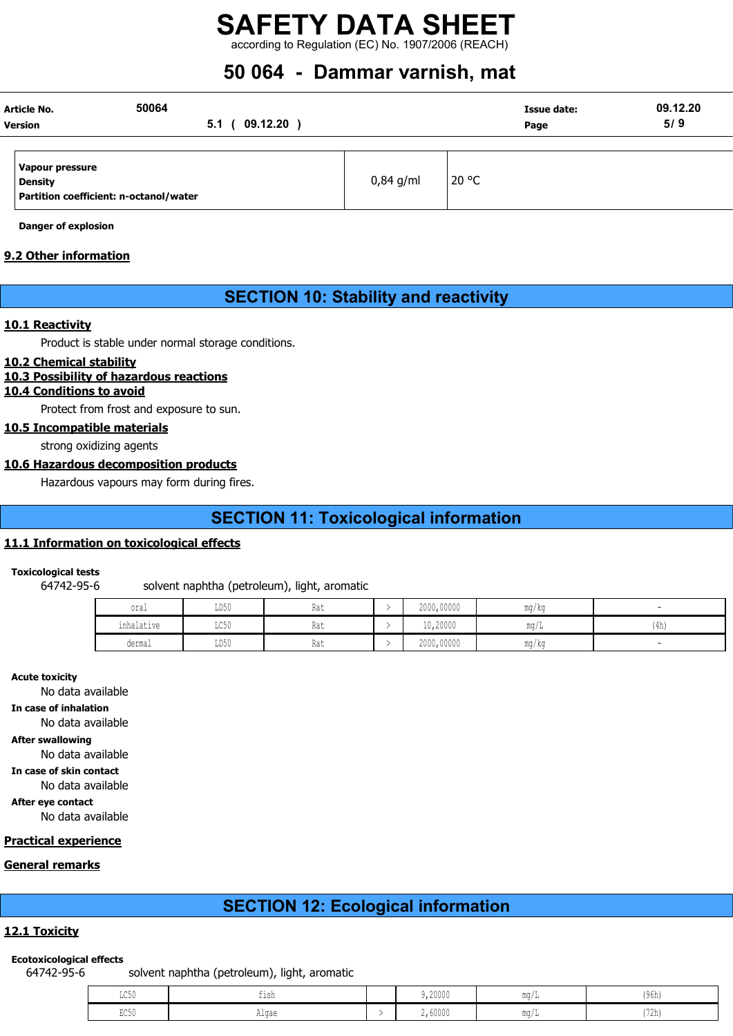## SAFETY DATA SHEET according to Regulation (EC) No. 1907/2006 (REACH)

# 50 064 - Dammar varnish, mat

| Article No.                            | 50064            |              |             |       | Issue date: | 09.12.20 |
|----------------------------------------|------------------|--------------|-------------|-------|-------------|----------|
| <b>Version</b>                         | 5.1 <sub>0</sub> | $09.12.20$ ) |             |       | Page        | 5/9      |
|                                        |                  |              |             |       |             |          |
| Vapour pressure                        |                  |              |             |       |             |          |
| <b>Density</b>                         |                  |              | $0,84$ g/ml | 20 °C |             |          |
| Partition coefficient: n-octanol/water |                  |              |             |       |             |          |

Danger of explosion

## 9.2 Other information

## SECTION 10: Stability and reactivity

#### 10.1 Reactivity

Product is stable under normal storage conditions.

#### 10.2 Chemical stability

#### 10.3 Possibility of hazardous reactions

## 10.4 Conditions to avoid

Protect from frost and exposure to sun.

10.5 Incompatible materials

strong oxidizing agents

#### 10.6 Hazardous decomposition products

Hazardous vapours may form during fires.

## SECTION 11: Toxicological information

### 11.1 Information on toxicological effects

#### Toxicological tests

64742-95-6 solvent naphtha (petroleum), light, aromatic

| oral                          | LD50                  | Rat | 2000,00000 | mg/kg      |      |
|-------------------------------|-----------------------|-----|------------|------------|------|
| .<br>inhalatiwa<br>THIRTACIAE | LC50                  | Rat | 10,20000   | $m\alpha/$ | (4h) |
| dermal<br>.                   | LD50<br>$\sim$ $\sim$ | Rat | 2000,00000 | mg/kg<br>. |      |

#### Acute toxicity

No data available

In case of inhalation

No data available

After swallowing

No data available

In case of skin contact

No data available

After eye contact No data available

#### Practical experience

#### General remarks

## SECTION 12: Ecological information

## 12.1 Toxicity

#### Ecotoxicological effects

64742-95-6 solvent naphtha (petroleum), light, aromatic

| $T \cap E$<br>コンマハ<br>. | ---   | 9,20000 | <b>MA OH</b><br>11U I | (96h)             |
|-------------------------|-------|---------|-----------------------|-------------------|
| $R \cap R$<br>コンマク      | Algae | 2,60000 | <b>MA OH</b><br>11147 | 1721<br>  I Z N J |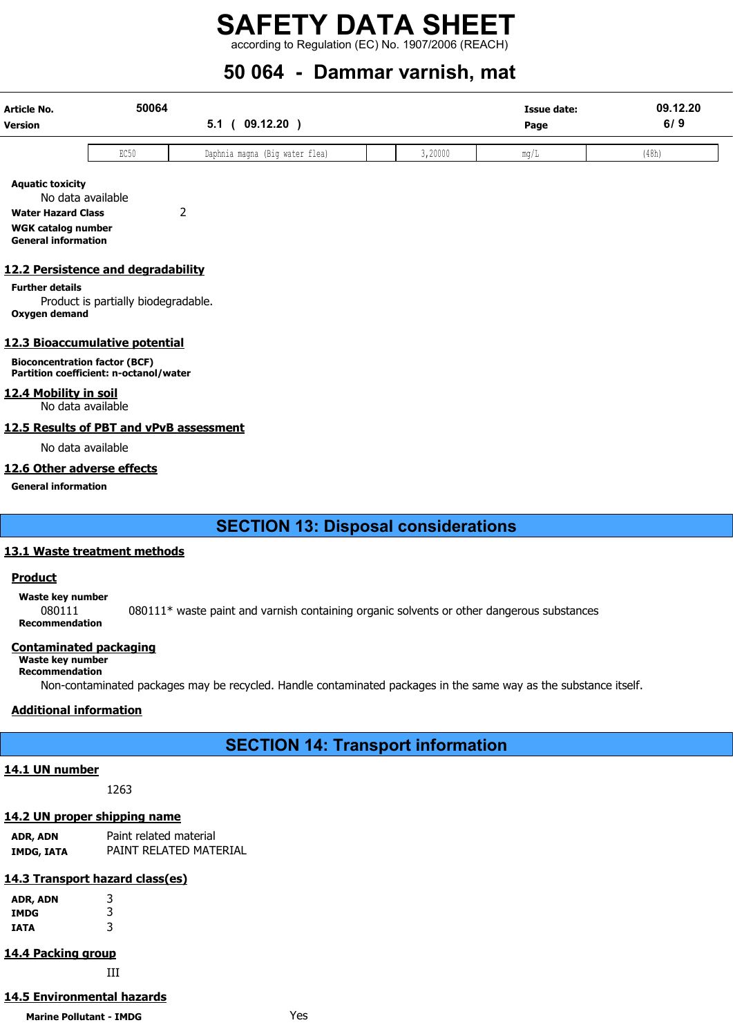## SAFETY DATA SHEET according to Regulation (EC) No. 1907/2006 (REACH)

# 50 064 - Dammar varnish, mat

| Article No.<br>Version | 50064<br>09.12.20<br>v.ı |                                | <b>Issue date:</b><br>Page | 09.12.20<br>6/9 |          |       |
|------------------------|--------------------------|--------------------------------|----------------------------|-----------------|----------|-------|
|                        | EC50                     | Daphnia magna (Big water flea) |                            | 3,20000         | <br>ma/L | (48h) |

Aquatic toxicity

No data available Water Hazard Class 2 WGK catalog number

General information

#### 12.2 Persistence and degradability

Further details

Product is partially biodegradable. Oxygen demand

## 12.3 Bioaccumulative potential

Bioconcentration factor (BCF) Partition coefficient: n-octanol/water

12.4 Mobility in soil

No data available

#### 12.5 Results of PBT and vPvB assessment

No data available

### 12.6 Other adverse effects

General information

## SECTION 13: Disposal considerations

#### 13.1 Waste treatment methods

## Product

Waste key number

080111 080111\* waste paint and varnish containing organic solvents or other dangerous substances Recommendation

#### Contaminated packaging

Waste key number Recommendation

Non-contaminated packages may be recycled. Handle contaminated packages in the same way as the substance itself.

## Additional information

## SECTION 14: Transport information

#### 14.1 UN number

1263

## 14.2 UN proper shipping name

ADR, ADN Paint related material IMDG, IATA PAINT RELATED MATERIAL

## 14.3 Transport hazard class(es)

| ADR, ADN | 3 |
|----------|---|
| IMDG     | 3 |
| IATA     | 3 |

## 14.4 Packing group

III

## 14.5 Environmental hazards

Marine Pollutant - IMDG **Yes**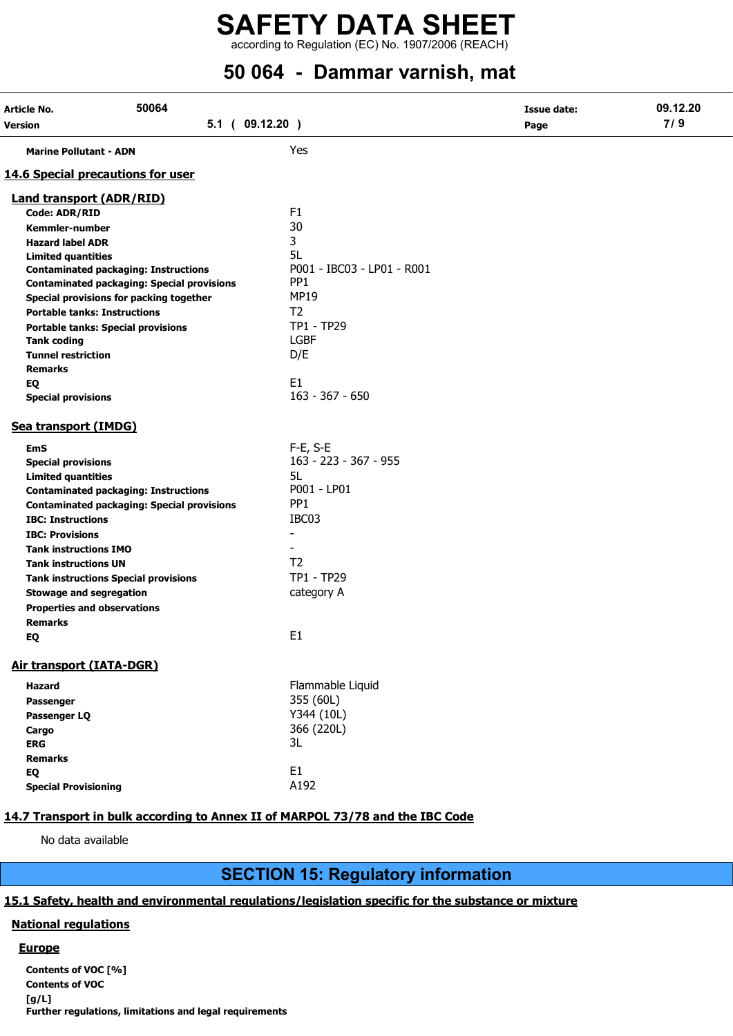## SAFETY DATA SHEET  $\frac{1}{2}$  according to Regulation (EC) No. 1907/2006 (REACH)

# 50 064 - Dammar varnish, mat

| Article No.                               | 50064                                             |                                     | <b>Issue date:</b> | 09.12.20 |
|-------------------------------------------|---------------------------------------------------|-------------------------------------|--------------------|----------|
| Version                                   | $5.1$ ( $09.12.20$ )                              |                                     | Page               | 7/9      |
| <b>Marine Pollutant - ADN</b>             |                                                   | Yes                                 |                    |          |
| <b>14.6 Special precautions for user</b>  |                                                   |                                     |                    |          |
| <b>Land transport (ADR/RID)</b>           |                                                   |                                     |                    |          |
| <b>Code: ADR/RID</b>                      |                                                   | F1                                  |                    |          |
| <b>Kemmler-number</b>                     |                                                   | 30                                  |                    |          |
| <b>Hazard label ADR</b>                   |                                                   | 3                                   |                    |          |
| <b>Limited quantities</b>                 |                                                   | 5L                                  |                    |          |
|                                           | <b>Contaminated packaging: Instructions</b>       | P001 - IBC03 - LP01 - R001          |                    |          |
|                                           | <b>Contaminated packaging: Special provisions</b> | PP <sub>1</sub>                     |                    |          |
|                                           | Special provisions for packing together           | <b>MP19</b>                         |                    |          |
| <b>Portable tanks: Instructions</b>       |                                                   | T <sub>2</sub>                      |                    |          |
| <b>Portable tanks: Special provisions</b> |                                                   | TP1 - TP29                          |                    |          |
| <b>Tank coding</b>                        |                                                   | <b>LGBF</b>                         |                    |          |
| <b>Tunnel restriction</b>                 |                                                   | D/E                                 |                    |          |
| <b>Remarks</b>                            |                                                   |                                     |                    |          |
| EQ                                        |                                                   | E <sub>1</sub><br>$163 - 367 - 650$ |                    |          |
| <b>Special provisions</b>                 |                                                   |                                     |                    |          |
| Sea transport (IMDG)                      |                                                   |                                     |                    |          |
| <b>EmS</b>                                |                                                   | F-E, S-E                            |                    |          |
| <b>Special provisions</b>                 |                                                   | 163 - 223 - 367 - 955               |                    |          |
| <b>Limited quantities</b>                 |                                                   | 5L                                  |                    |          |
|                                           | <b>Contaminated packaging: Instructions</b>       | P001 - LP01                         |                    |          |
|                                           | <b>Contaminated packaging: Special provisions</b> | PP <sub>1</sub>                     |                    |          |
| <b>IBC: Instructions</b>                  |                                                   | IBC03                               |                    |          |
| <b>IBC: Provisions</b>                    |                                                   | $\overline{\phantom{a}}$            |                    |          |
| <b>Tank instructions IMO</b>              |                                                   |                                     |                    |          |
| <b>Tank instructions UN</b>               |                                                   | T <sub>2</sub>                      |                    |          |
|                                           | <b>Tank instructions Special provisions</b>       | TP1 - TP29                          |                    |          |
| <b>Stowage and segregation</b>            |                                                   | category A                          |                    |          |
| <b>Properties and observations</b>        |                                                   |                                     |                    |          |
| <b>Remarks</b>                            |                                                   |                                     |                    |          |
| EQ                                        |                                                   | E <sub>1</sub>                      |                    |          |
| Air transport (IATA-DGR)                  |                                                   |                                     |                    |          |
| <b>Hazard</b>                             |                                                   | Flammable Liquid                    |                    |          |
| Passenger                                 |                                                   | 355 (60L)                           |                    |          |
| Passenger LQ                              |                                                   | Y344 (10L)                          |                    |          |
| Cargo                                     |                                                   | 366 (220L)                          |                    |          |
| <b>ERG</b>                                |                                                   | 3L                                  |                    |          |
| <b>Remarks</b>                            |                                                   |                                     |                    |          |
| EQ                                        |                                                   | E <sub>1</sub>                      |                    |          |
| <b>Special Provisioning</b>               |                                                   | A192                                |                    |          |

## 14.7 Transport in bulk according to Annex II of MARPOL 73/78 and the IBC Code

No data available

## SECTION 15: Regulatory information

## 15.1 Safety, health and environmental regulations/legislation specific for the substance or mixture

#### National regulations

## **Europe**

Contents of VOC [%] Contents of VOC [g/L] Further regulations, limitations and legal requirements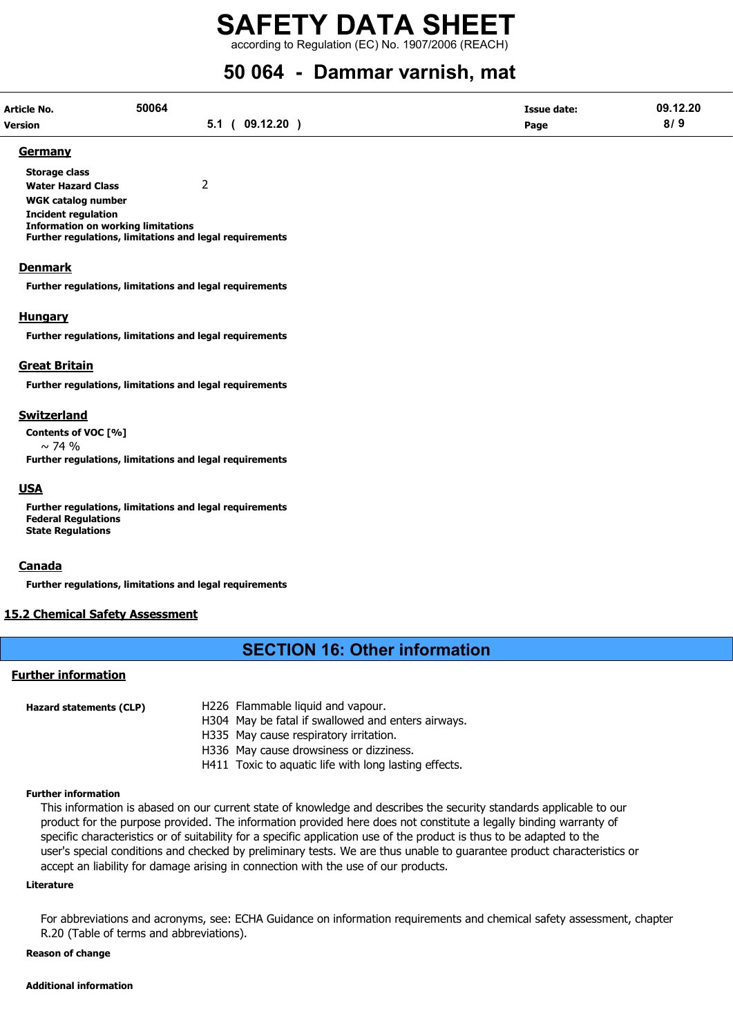according to Regulation (EC) No. 1907/2006 (REACH)

# 50 064 - Dammar varnish, mat

| Article No.    | 50064 |                | <b>Issue date:</b> | 09.12.20 |
|----------------|-------|----------------|--------------------|----------|
| <b>Version</b> |       | 5.1 ( 09.12.20 | Page               | 8/9      |

#### Germany

Storage class Water Hazard Class 2 WGK catalog number Incident regulation Information on working limitations Further regulations, limitations and legal requirements

#### Denmark

Further regulations, limitations and legal requirements

#### **Hungary**

Further regulations, limitations and legal requirements

#### Great Britain

Further regulations, limitations and legal requirements

#### Switzerland

Contents of VOC [%]  $\sim$  74 % Further regulations, limitations and legal requirements

#### USA

Further regulations, limitations and legal requirements Federal Regulations State Regulations

#### Canada

Further regulations, limitations and legal requirements

#### 15.2 Chemical Safety Assessment

## SECTION 16: Other information

## Further information

Hazard statements (CLP) H226 Flammable liquid and vapour. H304 May be fatal if swallowed and enters airways. H335 May cause respiratory irritation. H336 May cause drowsiness or dizziness. H411 Toxic to aquatic life with long lasting effects.

#### Further information

This information is abased on our current state of knowledge and describes the security standards applicable to our product for the purpose provided. The information provided here does not constitute a legally binding warranty of specific characteristics or of suitability for a specific application use of the product is thus to be adapted to the user's special conditions and checked by preliminary tests. We are thus unable to guarantee product characteristics or accept an liability for damage arising in connection with the use of our products.

#### Literature

For abbreviations and acronyms, see: ECHA Guidance on information requirements and chemical safety assessment, chapter R.20 (Table of terms and abbreviations).

#### Reason of change

#### Additional information